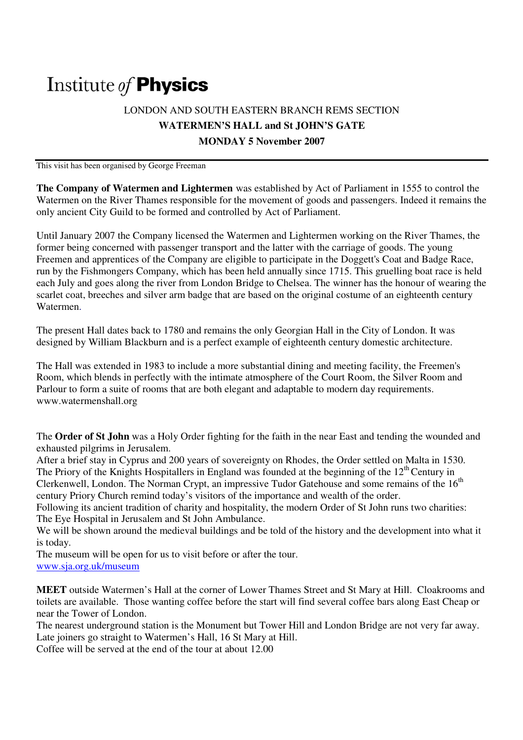# Institute of **Physics**

# LONDON AND SOUTH EASTERN BRANCH REMS SECTION **WATERMEN'S HALL and St JOHN'S GATE MONDAY 5 November 2007**

This visit has been organised by George Freeman

**The Company of Watermen and Lightermen** was established by Act of Parliament in 1555 to control the Watermen on the River Thames responsible for the movement of goods and passengers. Indeed it remains the only ancient City Guild to be formed and controlled by Act of Parliament.

Until January 2007 the Company licensed the Watermen and Lightermen working on the River Thames, the former being concerned with passenger transport and the latter with the carriage of goods. The young Freemen and apprentices of the Company are eligible to participate in the Doggett's Coat and Badge Race, run by the Fishmongers Company, which has been held annually since 1715. This gruelling boat race is held each July and goes along the river from London Bridge to Chelsea. The winner has the honour of wearing the scarlet coat, breeches and silver arm badge that are based on the original costume of an eighteenth century Watermen.

The present Hall dates back to 1780 and remains the only Georgian Hall in the City of London. It was designed by William Blackburn and is a perfect example of eighteenth century domestic architecture.

The Hall was extended in 1983 to include a more substantial dining and meeting facility, the Freemen's Room, which blends in perfectly with the intimate atmosphere of the Court Room, the Silver Room and Parlour to form a suite of rooms that are both elegant and adaptable to modern day requirements. www.watermenshall.org

The **Order of St John** was a Holy Order fighting for the faith in the near East and tending the wounded and exhausted pilgrims in Jerusalem.

After a brief stay in Cyprus and 200 years of sovereignty on Rhodes, the Order settled on Malta in 1530. The Priory of the Knights Hospitallers in England was founded at the beginning of the  $12<sup>th</sup>$  Century in Clerkenwell, London. The Norman Crypt, an impressive Tudor Gatehouse and some remains of the 16<sup>th</sup> century Priory Church remind today's visitors of the importance and wealth of the order.

Following its ancient tradition of charity and hospitality, the modern Order of St John runs two charities: The Eye Hospital in Jerusalem and St John Ambulance.

We will be shown around the medieval buildings and be told of the history and the development into what it is today.

The museum will be open for us to visit before or after the tour. www.sja.org.uk/museum

**MEET** outside Watermen's Hall at the corner of Lower Thames Street and St Mary at Hill. Cloakrooms and toilets are available. Those wanting coffee before the start will find several coffee bars along East Cheap or near the Tower of London.

The nearest underground station is the Monument but Tower Hill and London Bridge are not very far away. Late joiners go straight to Watermen's Hall, 16 St Mary at Hill.

Coffee will be served at the end of the tour at about 12.00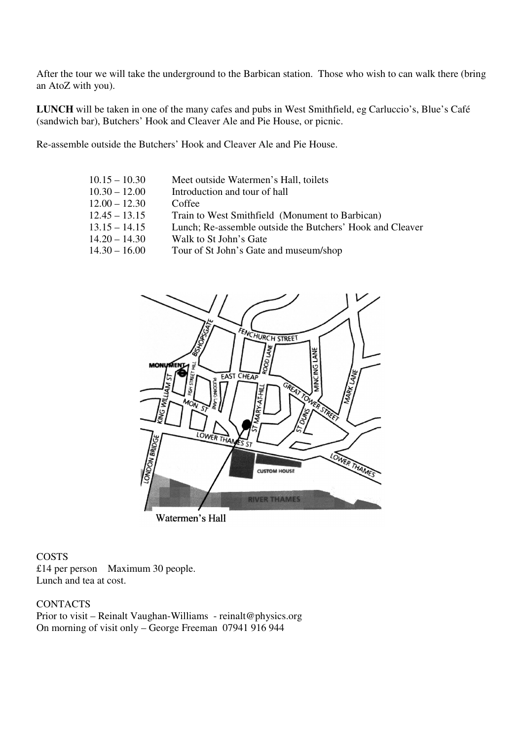After the tour we will take the underground to the Barbican station. Those who wish to can walk there (bring an AtoZ with you).

**LUNCH** will be taken in one of the many cafes and pubs in West Smithfield, eg Carluccio's, Blue's Café (sandwich bar), Butchers' Hook and Cleaver Ale and Pie House, or picnic.

Re-assemble outside the Butchers' Hook and Cleaver Ale and Pie House.

| $10.15 - 10.30$ | Meet outside Watermen's Hall, toilets                     |
|-----------------|-----------------------------------------------------------|
| $10.30 - 12.00$ | Introduction and tour of hall                             |
| $12.00 - 12.30$ | Coffee                                                    |
| $12.45 - 13.15$ | Train to West Smithfield (Monument to Barbican)           |
| $13.15 - 14.15$ | Lunch; Re-assemble outside the Butchers' Hook and Cleaver |
| $14.20 - 14.30$ | Walk to St John's Gate                                    |
| $14.30 - 16.00$ | Tour of St John's Gate and museum/shop                    |
|                 |                                                           |



Watermen's Hall

#### **COSTS**

£14 per person Maximum 30 people. Lunch and tea at cost.

## **CONTACTS**

Prior to visit – Reinalt Vaughan-Williams - reinalt@physics.org On morning of visit only – George Freeman 07941 916 944